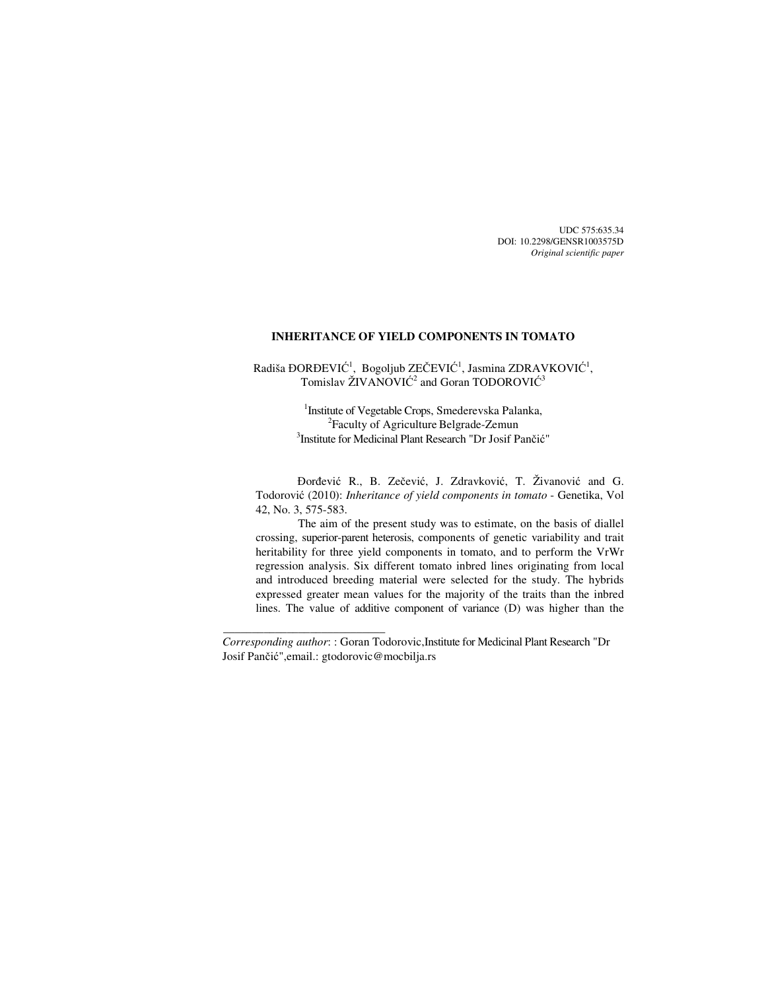UDC 575:635.34 DOI: 10.2298/GENSR1003575D *Original scientific paper* 

# **INHERITANCE OF YIELD COMPONENTS IN TOMATO**

Radiša ĐORĐEVIĆ<sup>1</sup>, Bogoljub ZEČEVIĆ<sup>1</sup>, Jasmina ZDRAVKOVIĆ<sup>1</sup>, Tomislav ŽIVANOVIĆ<sup>2</sup> and Goran TODOROVIĆ<sup>3</sup>

> <sup>1</sup> Institute of Vegetable Crops, Smederevska Palanka, <sup>2</sup> Faculty of Agriculture Belgrade-Zemun 3 Institute for Medicinal Plant Research "Dr Josif Pančić"

Đorđević R., B. Zečević, J. Zdravković, T. Živanović and G. Todorović (2010): *Inheritance of yield components in tomato* - Genetika, Vol 42, No. 3, 575-583.

The aim of the present study was to estimate, on the basis of diallel crossing, superior-parent heterosis, components of genetic variability and trait heritability for three yield components in tomato, and to perform the VrWr regression analysis. Six different tomato inbred lines originating from local and introduced breeding material were selected for the study. The hybrids expressed greater mean values for the majority of the traits than the inbred lines. The value of additive component of variance (D) was higher than the

*Corresponding author*: : Goran Todorovic,Institute for Medicinal Plant Research "Dr Josif Pančić",email.: gtodorovic@mocbilja.rs

 $\overline{\phantom{a}}$  , and the set of the set of the set of the set of the set of the set of the set of the set of the set of the set of the set of the set of the set of the set of the set of the set of the set of the set of the s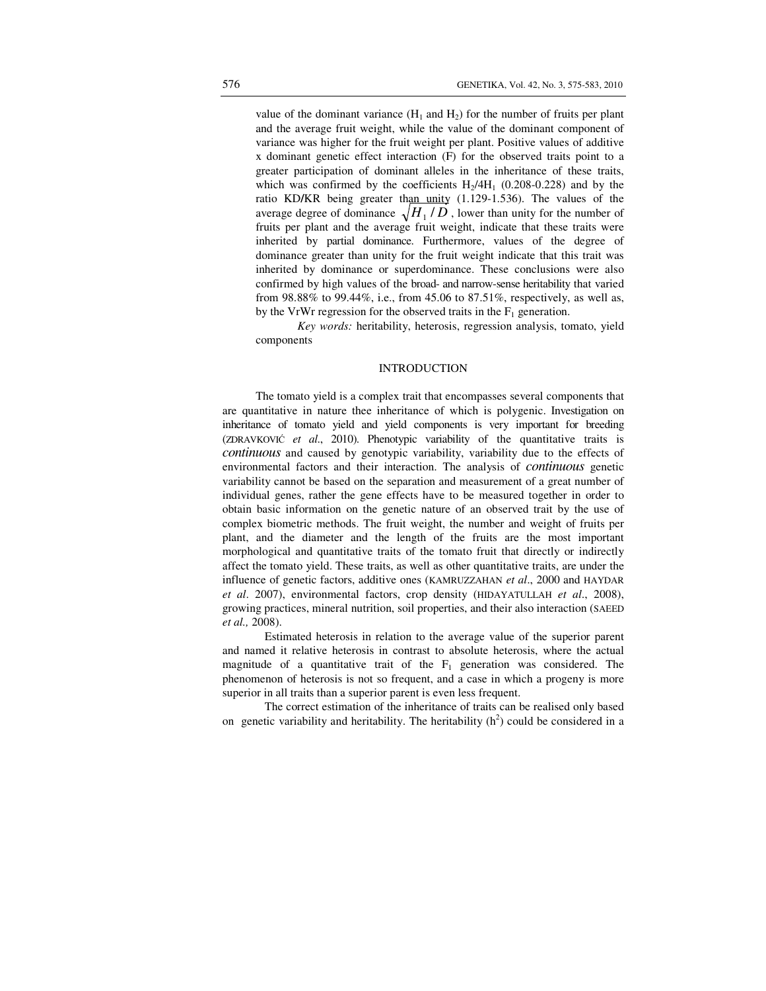value of the dominant variance  $(H_1 \text{ and } H_2)$  for the number of fruits per plant and the average fruit weight, while the value of the dominant component of variance was higher for the fruit weight per plant. Positive values of additive x dominant genetic effect interaction (F) for the observed traits point to a greater participation of dominant alleles in the inheritance of these traits, which was confirmed by the coefficients  $H<sub>2</sub>/4H<sub>1</sub>$  (0.208-0.228) and by the ratio KD/KR being greater than unity (1.129-1.536). The values of the average degree of dominance  $\sqrt{H_1/D}$  , lower than unity for the number of fruits per plant and the average fruit weight, indicate that these traits were inherited by partial dominance. Furthermore, values of the degree of dominance greater than unity for the fruit weight indicate that this trait was inherited by dominance or superdominance. These conclusions were also confirmed by high values of the broad- and narrow-sense heritability that varied from 98.88% to 99.44%, i.e., from 45.06 to 87.51%, respectively, as well as, by the VrWr regression for the observed traits in the  $F_1$  generation.

*Key words:* heritability, heterosis, regression analysis, tomato, yield components

# **INTRODUCTION**

The tomato yield is a complex trait that encompasses several components that are quantitative in nature thee inheritance of which is polygenic. Investigation on inheritance of tomato yield and yield components is very important for breeding (ZDRAVKOVIĆ *et al*., 2010). Phenotypic variability of the quantitative traits is *continuous* and caused by genotypic variability, variability due to the effects of environmental factors and their interaction. The analysis of *continuous* genetic variability cannot be based on the separation and measurement of a great number of individual genes, rather the gene effects have to be measured together in order to obtain basic information on the genetic nature of an observed trait by the use of complex biometric methods. The fruit weight, the number and weight of fruits per plant, and the diameter and the length of the fruits are the most important morphological and quantitative traits of the tomato fruit that directly or indirectly affect the tomato yield. These traits, as well as other quantitative traits, are under the influence of genetic factors, additive ones (KAMRUZZAHAN *et al*., 2000 and HAYDAR *et al*. 2007), environmental factors, crop density (HIDAYATULLAH *et al*., 2008), growing practices, mineral nutrition, soil properties, and their also interaction (SAEED *et al.,* 2008).

Estimated heterosis in relation to the average value of the superior parent and named it relative heterosis in contrast to absolute heterosis, where the actual magnitude of a quantitative trait of the  $F_1$  generation was considered. The phenomenon of heterosis is not so frequent, and a case in which a progeny is more superior in all traits than a superior parent is even less frequent.

The correct estimation of the inheritance of traits can be realised only based on genetic variability and heritability. The heritability  $(h^2)$  could be considered in a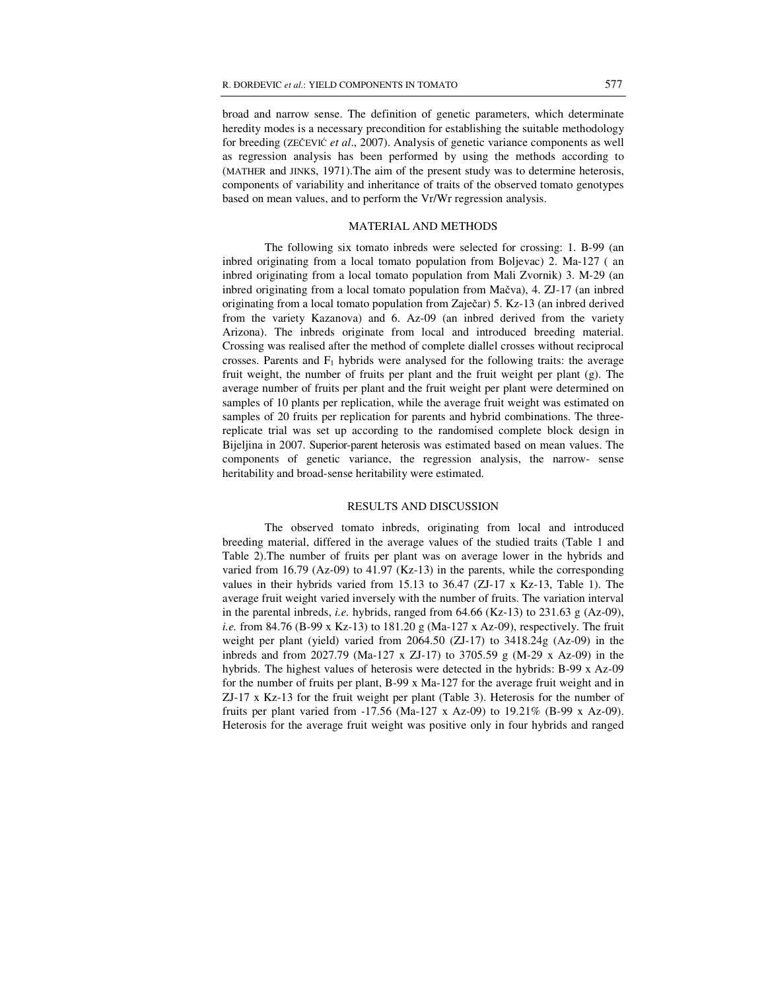broad and narrow sense. The definition of genetic parameters, which determinate heredity modes is a necessary precondition for establishing the suitable methodology for breeding (ZEČEVIĆ *et al*., 2007). Analysis of genetic variance components as well as regression analysis has been performed by using the methods according to (MATHER and JINKS, 1971).The aim of the present study was to determine heterosis, components of variability and inheritance of traits of the observed tomato genotypes based on mean values, and to perform the Vr/Wr regression analysis.

## MATERIAL AND METHODS

 The following six tomato inbreds were selected for crossing: 1. B-99 (an inbred originating from a local tomato population from Boljevac) 2. Ma-127 ( an inbred originating from a local tomato population from Mali Zvornik) 3. M-29 (an inbred originating from a local tomato population from Mačva), 4. ZJ-17 (an inbred originating from a local tomato population from Zaječar) 5. Kz-13 (an inbred derived from the variety Kazanova) and 6. Az-09 (an inbred derived from the variety Arizona). The inbreds originate from local and introduced breeding material. Crossing was realised after the method of complete diallel crosses without reciprocal crosses. Parents and  $F_1$  hybrids were analysed for the following traits: the average fruit weight, the number of fruits per plant and the fruit weight per plant (g). The average number of fruits per plant and the fruit weight per plant were determined on samples of 10 plants per replication, while the average fruit weight was estimated on samples of 20 fruits per replication for parents and hybrid combinations. The threereplicate trial was set up according to the randomised complete block design in Bijeljina in 2007. Superior-parent heterosis was estimated based on mean values. The components of genetic variance, the regression analysis, the narrow- sense heritability and broad-sense heritability were estimated.

# RESULTS AND DISCUSSION

 The observed tomato inbreds, originating from local and introduced breeding material, differed in the average values of the studied traits (Table 1 and Table 2).The number of fruits per plant was on average lower in the hybrids and varied from 16.79 (Az-09) to 41.97 (Kz-13) in the parents, while the corresponding values in their hybrids varied from 15.13 to 36.47 (ZJ-17 x Kz-13, Table 1). The average fruit weight varied inversely with the number of fruits. The variation interval in the parental inbreds, *i.e.* hybrids, ranged from  $64.66$  (Kz-13) to  $231.63$  g (Az-09), *i.e.* from 84.76 (B-99 x Kz-13) to 181.20 g (Ma-127 x Az-09), respectively. The fruit weight per plant (yield) varied from 2064.50 (ZJ-17) to 3418.24g (Az-09) in the inbreds and from 2027.79 (Ma-127 x ZJ-17) to 3705.59 g (M-29 x Az-09) in the hybrids. The highest values of heterosis were detected in the hybrids: B-99 x Az-09 for the number of fruits per plant, B-99 x Ma-127 for the average fruit weight and in ZJ-17 x Kz-13 for the fruit weight per plant (Table 3). Heterosis for the number of fruits per plant varied from -17.56 (Ma-127 x Az-09) to 19.21% (B-99 x Az-09). Heterosis for the average fruit weight was positive only in four hybrids and ranged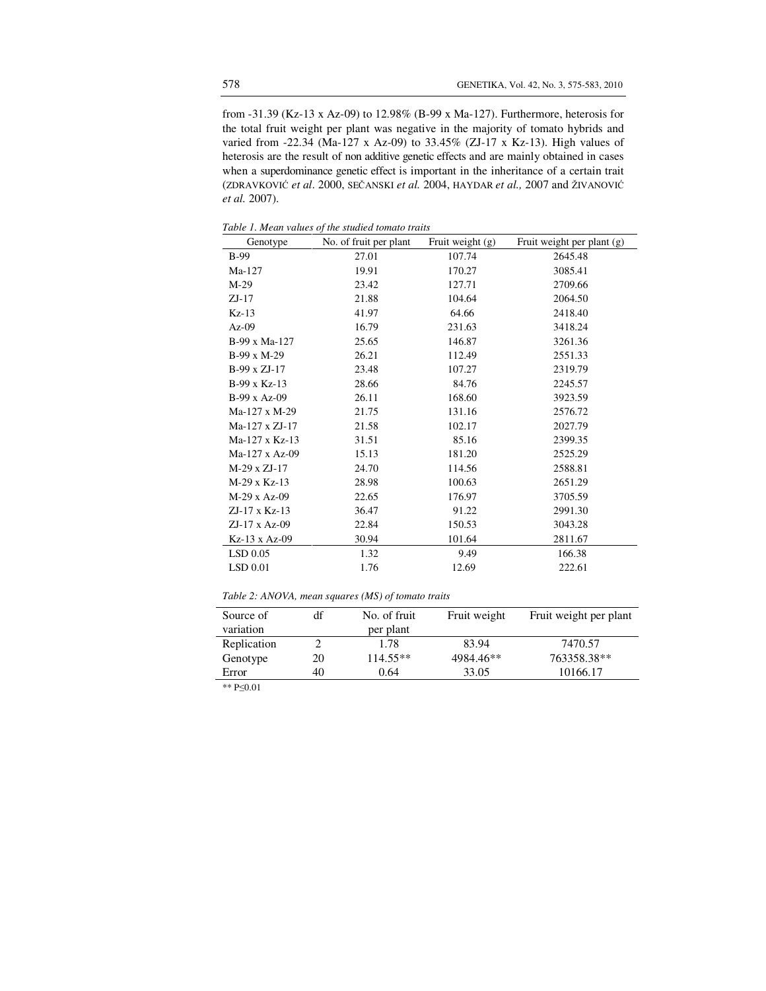from -31.39 (Kz-13 x Az-09) to 12.98% (B-99 x Ma-127). Furthermore, heterosis for the total fruit weight per plant was negative in the majority of tomato hybrids and varied from -22.34 (Ma-127 x Az-09) to 33.45% (ZJ-17 x Kz-13). High values of heterosis are the result of non additive genetic effects and are mainly obtained in cases when a superdominance genetic effect is important in the inheritance of a certain trait (ZDRAVKOVIĆ *et al*. 2000, SEČANSKI *et al.* 2004, HAYDAR *et al.,* 2007 and ŽIVANOVIĆ *et al.* 2007).

*Table 1. Mean values of the studied tomato traits* 

| Genotype              | <i>ric bination romano ri attio</i><br>No. of fruit per plant | Fruit weight (g) | Fruit weight per plant (g) |
|-----------------------|---------------------------------------------------------------|------------------|----------------------------|
| $B-99$                | 27.01                                                         | 107.74           | 2645.48                    |
| Ma-127                | 19.91                                                         | 170.27           | 3085.41                    |
| $M-29$                | 23.42                                                         | 127.71           | 2709.66                    |
| $ZJ-17$               | 21.88                                                         | 104.64           | 2064.50                    |
| $Kz-13$               | 41.97                                                         | 64.66            | 2418.40                    |
| $Az-09$               | 16.79                                                         | 231.63           | 3418.24                    |
| B-99 x Ma-127         | 25.65                                                         | 146.87           | 3261.36                    |
| B-99 x M-29           | 26.21                                                         | 112.49           | 2551.33                    |
| B-99 x ZJ-17          | 23.48                                                         | 107.27           | 2319.79                    |
| $B-99 \times Kz-13$   | 28.66                                                         | 84.76            | 2245.57                    |
| B-99 x Az-09          | 26.11                                                         | 168.60           | 3923.59                    |
| Ma-127 x M-29         | 21.75                                                         | 131.16           | 2576.72                    |
| Ma-127 x ZJ-17        | 21.58                                                         | 102.17           | 2027.79                    |
| Ma-127 x Kz-13        | 31.51                                                         | 85.16            | 2399.35                    |
| $Ma-127 \times Az-09$ | 15.13                                                         | 181.20           | 2525.29                    |
| M-29 x ZJ-17          | 24.70                                                         | 114.56           | 2588.81                    |
| $M-29$ x Kz-13        | 28.98                                                         | 100.63           | 2651.29                    |
| $M-29x$ Az-09         | 22.65                                                         | 176.97           | 3705.59                    |
| $ZJ-17 \times Kz-13$  | 36.47                                                         | 91.22            | 2991.30                    |
| $ZJ-17$ x Az-09       | 22.84                                                         | 150.53           | 3043.28                    |
| Kz-13 x Az-09         | 30.94                                                         | 101.64           | 2811.67                    |
| LSD 0.05              | 1.32                                                          | 9.49             | 166.38                     |
| LSD 0.01              | 1.76                                                          | 12.69            | 222.61                     |

| Table 2: ANOVA, mean squares (MS) of tomato traits |  |  |  |
|----------------------------------------------------|--|--|--|
|----------------------------------------------------|--|--|--|

| Source of   | df | No. of fruit | Fruit weight | Fruit weight per plant |
|-------------|----|--------------|--------------|------------------------|
| variation   |    | per plant    |              |                        |
| Replication |    | 1.78         | 83.94        | 7470.57                |
| Genotype    | 20 | $114.55**$   | 4984.46**    | 763358.38**            |
| Error       | 40 | 0.64         | 33.05        | 10166.17               |

\*\* P≤0.01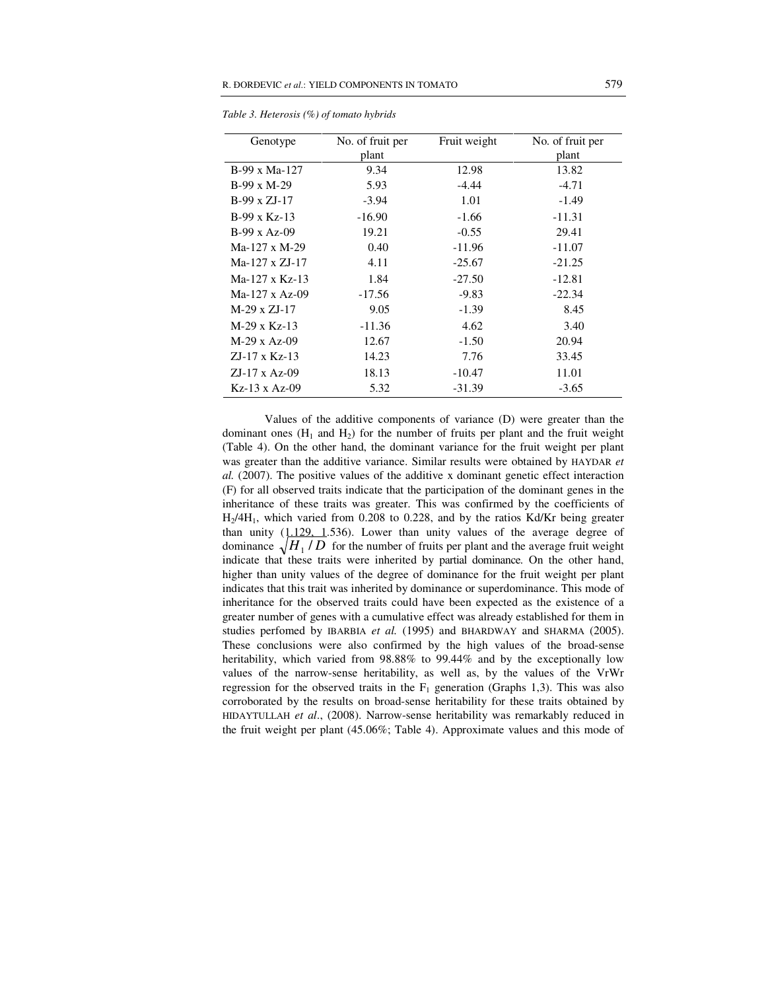| Genotype              | No. of fruit per | Fruit weight | No. of fruit per |
|-----------------------|------------------|--------------|------------------|
|                       | plant            |              | plant            |
| $B-99 \times Ma-127$  | 9.34             | 12.98        | 13.82            |
| $B-99 \times M-29$    | 5.93             | $-4.44$      | $-4.71$          |
| $B-99 \times ZJ-17$   | $-3.94$          | 1.01         | $-1.49$          |
| $B-99 \times Kz-13$   | $-16.90$         | $-1.66$      | $-11.31$         |
| $B-99 \times Az-09$   | 19.21            | $-0.55$      | 29.41            |
| $Ma-127 \times M-29$  | 0.40             | $-11.96$     | $-11.07$         |
| $Ma-127 \times ZJ-17$ | 4.11             | $-25.67$     | $-21.25$         |
| $Ma-127 \times Kz-13$ | 1.84             | $-27.50$     | $-12.81$         |
| $Ma-127 \times Az-09$ | $-17.56$         | $-9.83$      | $-22.34$         |
| $M-29 \times ZJ-17$   | 9.05             | $-1.39$      | 8.45             |
| $M-29 \times Kz-13$   | $-11.36$         | 4.62         | 3.40             |
| $M-29$ x Az-09        | 12.67            | $-1.50$      | 20.94            |
| $ZJ-17 \times Kz-13$  | 14.23            | 7.76         | 33.45            |
| $ZJ-17 \times Az-09$  | 18.13            | $-10.47$     | 11.01            |
| $Kz-13$ x Az-09       | 5.32             | $-31.39$     | $-3.65$          |

*Table 3. Heterosis (%) of tomato hybrids* 

Values of the additive components of variance (D) were greater than the dominant ones  $(H_1 \text{ and } H_2)$  for the number of fruits per plant and the fruit weight (Table 4). On the other hand, the dominant variance for the fruit weight per plant was greater than the additive variance. Similar results were obtained by HAYDAR *et al.* (2007). The positive values of the additive x dominant genetic effect interaction (F) for all observed traits indicate that the participation of the dominant genes in the inheritance of these traits was greater. This was confirmed by the coefficients of H2/4H1, which varied from 0.208 to 0.228, and by the ratios Kd/Kr being greater than unity  $(1.129, 1.536)$ . Lower than unity values of the average degree of dominance  $\sqrt{H_1/D}$  for the number of fruits per plant and the average fruit weight indicate that these traits were inherited by partial dominance. On the other hand, higher than unity values of the degree of dominance for the fruit weight per plant indicates that this trait was inherited by dominance or superdominance. This mode of inheritance for the observed traits could have been expected as the existence of a greater number of genes with a cumulative effect was already established for them in studies perfomed by IBARBIA *et al.* (1995) and BHARDWAY and SHARMA (2005). These conclusions were also confirmed by the high values of the broad-sense heritability, which varied from 98.88% to 99.44% and by the exceptionally low values of the narrow-sense heritability, as well as, by the values of the VrWr regression for the observed traits in the  $F_1$  generation (Graphs 1,3). This was also corroborated by the results on broad-sense heritability for these traits obtained by HIDAYTULLAH *et al*., (2008). Narrow-sense heritability was remarkably reduced in the fruit weight per plant (45.06%; Table 4). Approximate values and this mode of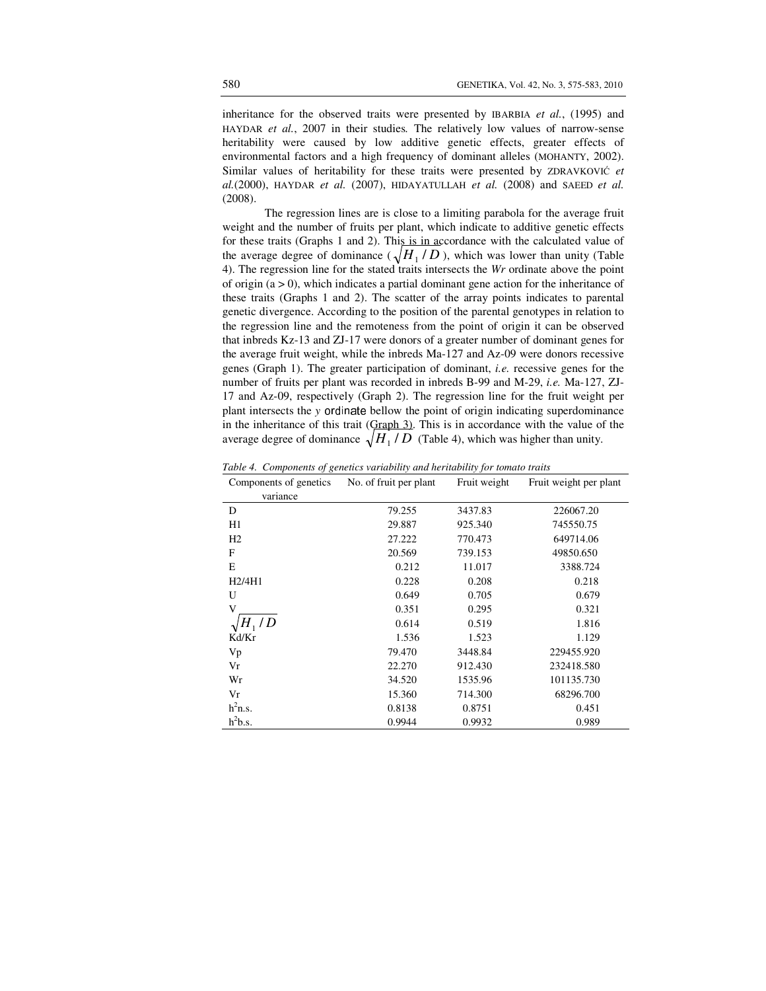inheritance for the observed traits were presented by IBARBIA *et al.*, (1995) and HAYDAR *et al.*, 2007 in their studies*.* The relatively low values of narrow-sense heritability were caused by low additive genetic effects, greater effects of environmental factors and a high frequency of dominant alleles (MOHANTY, 2002). Similar values of heritability for these traits were presented by ZDRAVKOVIĆ *et al.*(2000), HAYDAR *et al.* (2007), HIDAYATULLAH *et al.* (2008) and SAEED *et al.* (2008).

The regression lines are is close to a limiting parabola for the average fruit weight and the number of fruits per plant, which indicate to additive genetic effects for these traits (Graphs 1 and 2). This is in accordance with the calculated value of the average degree of dominance ( $\sqrt{H_1/D}$ ), which was lower than unity (Table 4). The regression line for the stated traits intersects the *Wr* ordinate above the point of origin  $(a > 0)$ , which indicates a partial dominant gene action for the inheritance of these traits (Graphs 1 and 2). The scatter of the array points indicates to parental genetic divergence. According to the position of the parental genotypes in relation to the regression line and the remoteness from the point of origin it can be observed that inbreds Kz-13 and ZJ-17 were donors of a greater number of dominant genes for the average fruit weight, while the inbreds Ma-127 and Az-09 were donors recessive genes (Graph 1). The greater participation of dominant, *i.e.* recessive genes for the number of fruits per plant was recorded in inbreds B-99 and M-29, *i.e.* Ma-127, ZJ-17 and Az-09, respectively (Graph 2). The regression line for the fruit weight per plant intersects the *y* ordinate bellow the point of origin indicating superdominance in the inheritance of this trait (Graph 3). This is in accordance with the value of the average degree of dominance  $\sqrt{H_1/D}$  (Table 4), which was higher than unity.

| Components of genetics | No. of fruit per plant | Fruit weight | Fruit weight per plant |
|------------------------|------------------------|--------------|------------------------|
| variance               |                        |              |                        |
| D                      | 79.255                 | 3437.83      | 226067.20              |
| H1                     | 29.887                 | 925.340      | 745550.75              |
| H <sub>2</sub>         | 27.222                 | 770.473      | 649714.06              |
| F                      | 20.569                 | 739.153      | 49850.650              |
| Е                      | 0.212                  | 11.017       | 3388.724               |
| H2/4H1                 | 0.228                  | 0.208        | 0.218                  |
| U                      | 0.649                  | 0.705        | 0.679                  |
| V                      | 0.351                  | 0.295        | 0.321                  |
| /D                     | 0.614                  | 0.519        | 1.816                  |
| Kd/Kr                  | 1.536                  | 1.523        | 1.129                  |
| Vp                     | 79.470                 | 3448.84      | 229455.920             |
| Vr                     | 22.270                 | 912.430      | 232418.580             |
| Wr                     | 34.520                 | 1535.96      | 101135.730             |
| Vr                     | 15.360                 | 714.300      | 68296.700              |
| $h^2$ n.s.             | 0.8138                 | 0.8751       | 0.451                  |
| $h^2b.s.$              | 0.9944                 | 0.9932       | 0.989                  |

*Table 4. Components of genetics variability and heritability for tomato traits*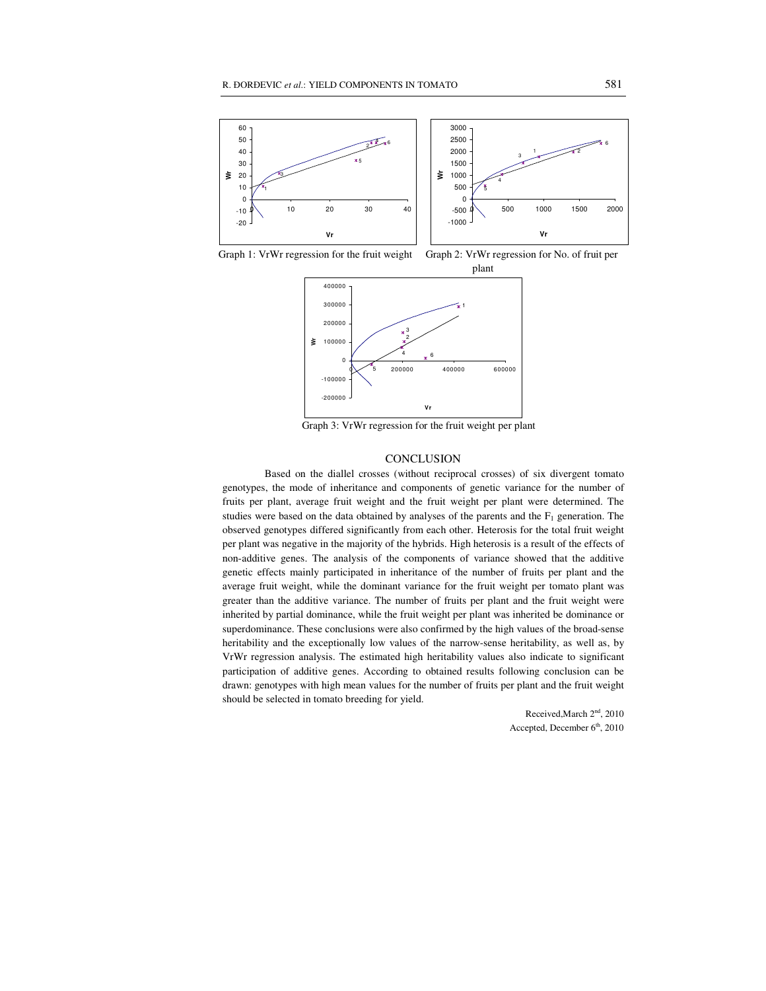

Graph 1: VrWr regression for the fruit weight Graph 2: VrWr regression for No. of fruit per





Graph 3: VrWr regression for the fruit weight per plant

### **CONCLUSION**

Based on the diallel crosses (without reciprocal crosses) of six divergent tomato genotypes, the mode of inheritance and components of genetic variance for the number of fruits per plant, average fruit weight and the fruit weight per plant were determined. The studies were based on the data obtained by analyses of the parents and the  $F_1$  generation. The observed genotypes differed significantly from each other. Heterosis for the total fruit weight per plant was negative in the majority of the hybrids. High heterosis is a result of the effects of non-additive genes. The analysis of the components of variance showed that the additive genetic effects mainly participated in inheritance of the number of fruits per plant and the average fruit weight, while the dominant variance for the fruit weight per tomato plant was greater than the additive variance. The number of fruits per plant and the fruit weight were inherited by partial dominance, while the fruit weight per plant was inherited be dominance or superdominance. These conclusions were also confirmed by the high values of the broad-sense heritability and the exceptionally low values of the narrow-sense heritability, as well as, by VrWr regression analysis. The estimated high heritability values also indicate to significant participation of additive genes. According to obtained results following conclusion can be drawn: genotypes with high mean values for the number of fruits per plant and the fruit weight should be selected in tomato breeding for yield.

> Received, March 2<sup>nd</sup>, 2010 Accepted, December  $6<sup>th</sup>$ , 2010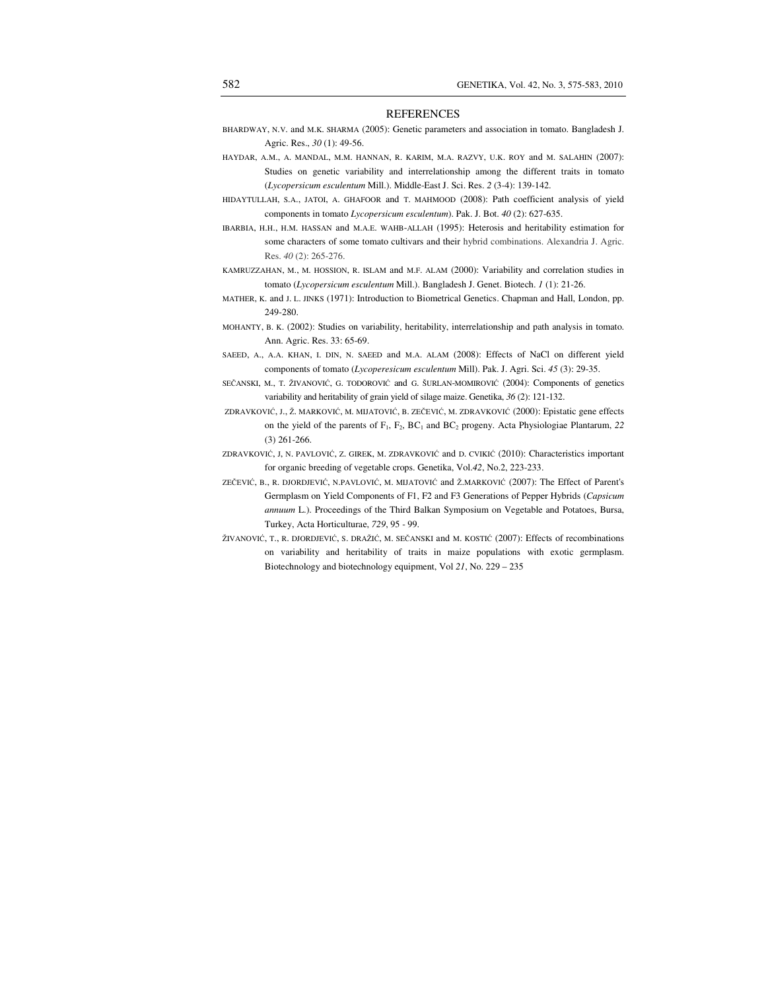### REFERENCES

- BHARDWAY, N.V. and M.K. SHARMA (2005): Genetic parameters and association in tomato. Bangladesh J. Agric. Res., *30* (1): 49-56.
- HAYDAR, A.M., A. MANDAL, M.M. HANNAN, R. KARIM, M.A. RAZVY, U.K. ROY and M. SALAHIN (2007): Studies on genetic variability and interrelationship among the different traits in tomato (*Lycopersicum esculentum* Mill.). Middle-East J. Sci. Res. *2* (3-4): 139-142.
- HIDAYTULLAH, S.A., JATOI, A. GHAFOOR and T. MAHMOOD (2008): Path coefficient analysis of yield components in tomato *Lycopersicum esculentum*). Pak. J. Bot. *40* (2): 627-635.
- IBARBIA, H.H., H.M. HASSAN and M.A.E. WAHB-ALLAH (1995): Heterosis and heritability estimation for some characters of some tomato cultivars and their hybrid combinations. Alexandria J. Agric. Res. *40* (2): 265-276.
- KAMRUZZAHAN, M., M. HOSSION, R. ISLAM and M.F. ALAM (2000): Variability and correlation studies in tomato (*Lycopersicum esculentum* Mill.). Bangladesh J. Genet. Biotech. *1* (1): 21-26.
- MATHER, K. and J. L. JINKS (1971): Introduction to Biometrical Genetics. Chapman and Hall, London, pp. 249-280.
- MOHANTY, B. K. (2002): Studies on variability, heritability, interrelationship and path analysis in tomato. Ann. Agric. Res. 33: 65-69.
- SAEED, A., A.A. KHAN, I. DIN, N. SAEED and M.A. ALAM (2008): Effects of NaCl on different yield components of tomato (*Lycoperesicum esculentum* Mill). Pak. J. Agri. Sci. *45* (3): 29-35.
- SEČANSKI, M., T. ŽIVANOVIĆ, G. TODOROVIĆ and G. ŠURLAN-MOMIROVIĆ (2004): Components of genetics variability and heritability of grain yield of silage maize. Genetika, *36* (2): 121-132.
- ZDRAVKOVIĆ, J., Ž. MARKOVIĆ, M. MIJATOVIĆ, B. ZEČEVIĆ, M. ZDRAVKOVIĆ (2000): Epistatic gene effects on the yield of the parents of F<sub>1</sub>, F<sub>2</sub>, BC<sub>1</sub> and BC<sub>2</sub> progeny. Acta Physiologiae Plantarum, 22 (3) 261-266.
- ZDRAVKOVIĆ, J, N. PAVLOVIĆ, Z. GIREK, M. ZDRAVKOVIĆ and D. CVIKIĆ (2010): Characteristics important for organic breeding of vegetable crops. Genetika, Vol.*42*, No.2, 223-233.
- ZEČEVIĆ, B., R. DJORDJEVIĆ, N.PAVLOVIĆ, M. MIJATOVIĆ and Ž.MARKOVIĆ (2007): The Effect of Parent's Germplasm on Yield Components of F1, F2 and F3 Generations of Pepper Hybrids (*Capsicum annuum* L.). Proceedings of the Third Balkan Symposium on Vegetable and Potatoes, Bursa, Turkey, Acta Horticulturae, *729*, 95 - 99.
- ŽIVANOVIĆ, T., R. DJORDJEVIĆ, S. DRAŽIĆ, M. SEČANSKI and M. KOSTIĆ (2007): Effects of recombinations on variability and heritability of traits in maize populations with exotic germplasm. Biotechnology and biotechnology equipment, Vol *21*, No. 229 – 235